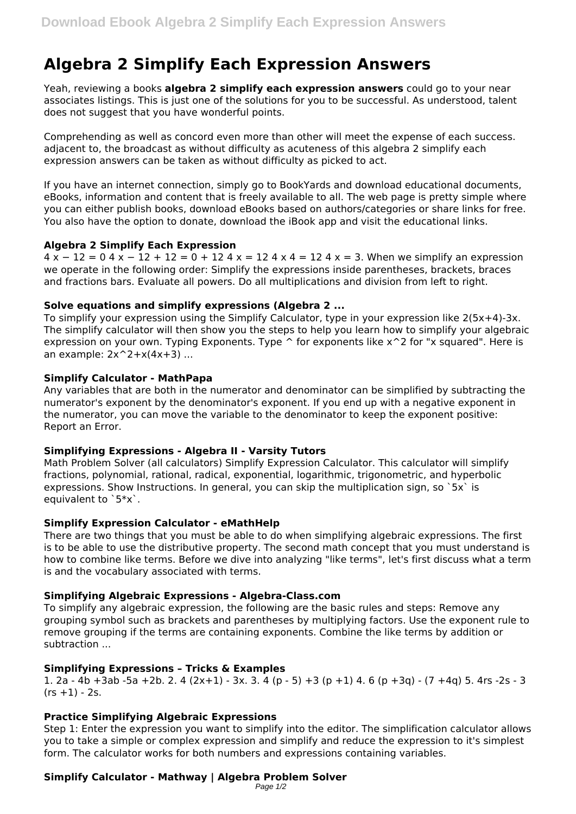# **Algebra 2 Simplify Each Expression Answers**

Yeah, reviewing a books **algebra 2 simplify each expression answers** could go to your near associates listings. This is just one of the solutions for you to be successful. As understood, talent does not suggest that you have wonderful points.

Comprehending as well as concord even more than other will meet the expense of each success. adjacent to, the broadcast as without difficulty as acuteness of this algebra 2 simplify each expression answers can be taken as without difficulty as picked to act.

If you have an internet connection, simply go to BookYards and download educational documents, eBooks, information and content that is freely available to all. The web page is pretty simple where you can either publish books, download eBooks based on authors/categories or share links for free. You also have the option to donate, download the iBook app and visit the educational links.

# **Algebra 2 Simplify Each Expression**

 $4 \times -12 = 04 \times -12 + 12 = 0 + 124 = 124 \times -124 = 3$ . When we simplify an expression we operate in the following order: Simplify the expressions inside parentheses, brackets, braces and fractions bars. Evaluate all powers. Do all multiplications and division from left to right.

## **Solve equations and simplify expressions (Algebra 2 ...**

To simplify your expression using the Simplify Calculator, type in your expression like 2(5x+4)-3x. The simplify calculator will then show you the steps to help you learn how to simplify your algebraic expression on your own. Typing Exponents. Type  $\hat{ }$  for exponents like  $x^2$  for "x squared". Here is an example:  $2x^2+x(4x+3)$  ...

## **Simplify Calculator - MathPapa**

Any variables that are both in the numerator and denominator can be simplified by subtracting the numerator's exponent by the denominator's exponent. If you end up with a negative exponent in the numerator, you can move the variable to the denominator to keep the exponent positive: Report an Error.

# **Simplifying Expressions - Algebra II - Varsity Tutors**

Math Problem Solver (all calculators) Simplify Expression Calculator. This calculator will simplify fractions, polynomial, rational, radical, exponential, logarithmic, trigonometric, and hyperbolic expressions. Show Instructions. In general, you can skip the multiplication sign, so  $5x$  is equivalent to `5\*x`.

#### **Simplify Expression Calculator - eMathHelp**

There are two things that you must be able to do when simplifying algebraic expressions. The first is to be able to use the distributive property. The second math concept that you must understand is how to combine like terms. Before we dive into analyzing "like terms", let's first discuss what a term is and the vocabulary associated with terms.

# **Simplifying Algebraic Expressions - Algebra-Class.com**

To simplify any algebraic expression, the following are the basic rules and steps: Remove any grouping symbol such as brackets and parentheses by multiplying factors. Use the exponent rule to remove grouping if the terms are containing exponents. Combine the like terms by addition or subtraction ...

# **Simplifying Expressions – Tricks & Examples**

1. 2a - 4b +3ab -5a +2b. 2. 4 (2x+1) - 3x. 3. 4 (p - 5) +3 (p +1) 4. 6 (p +3q) - (7 +4q) 5. 4rs -2s - 3  $(rs + 1) - 2s.$ 

# **Practice Simplifying Algebraic Expressions**

Step 1: Enter the expression you want to simplify into the editor. The simplification calculator allows you to take a simple or complex expression and simplify and reduce the expression to it's simplest form. The calculator works for both numbers and expressions containing variables.

# **Simplify Calculator - Mathway | Algebra Problem Solver**

```
Page 1/2
```